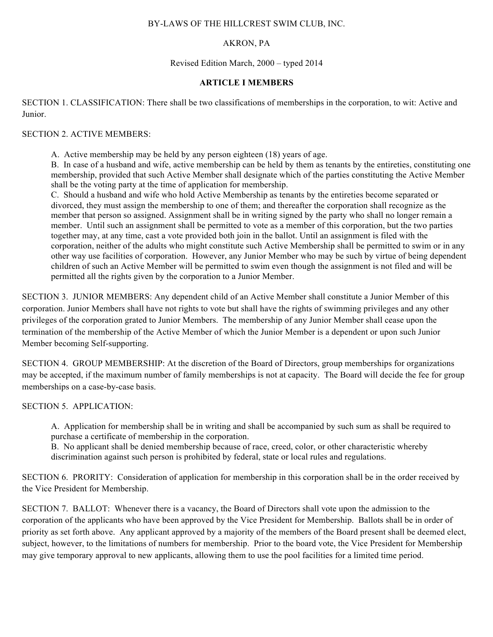#### BY-LAWS OF THE HILLCREST SWIM CLUB, INC.

### AKRON, PA

#### Revised Edition March, 2000 – typed 2014

#### **ARTICLE I MEMBERS**

SECTION 1. CLASSIFICATION: There shall be two classifications of memberships in the corporation, to wit: Active and Junior.

#### SECTION 2. ACTIVE MEMBERS:

A. Active membership may be held by any person eighteen (18) years of age.

B. In case of a husband and wife, active membership can be held by them as tenants by the entireties, constituting one membership, provided that such Active Member shall designate which of the parties constituting the Active Member shall be the voting party at the time of application for membership.

C. Should a husband and wife who hold Active Membership as tenants by the entireties become separated or divorced, they must assign the membership to one of them; and thereafter the corporation shall recognize as the member that person so assigned. Assignment shall be in writing signed by the party who shall no longer remain a member. Until such an assignment shall be permitted to vote as a member of this corporation, but the two parties together may, at any time, cast a vote provided both join in the ballot. Until an assignment is filed with the corporation, neither of the adults who might constitute such Active Membership shall be permitted to swim or in any other way use facilities of corporation. However, any Junior Member who may be such by virtue of being dependent children of such an Active Member will be permitted to swim even though the assignment is not filed and will be permitted all the rights given by the corporation to a Junior Member.

SECTION 3. JUNIOR MEMBERS: Any dependent child of an Active Member shall constitute a Junior Member of this corporation. Junior Members shall have not rights to vote but shall have the rights of swimming privileges and any other privileges of the corporation grated to Junior Members. The membership of any Junior Member shall cease upon the termination of the membership of the Active Member of which the Junior Member is a dependent or upon such Junior Member becoming Self-supporting.

SECTION 4. GROUP MEMBERSHIP: At the discretion of the Board of Directors, group memberships for organizations may be accepted, if the maximum number of family memberships is not at capacity. The Board will decide the fee for group memberships on a case-by-case basis.

SECTION 5. APPLICATION:

A. Application for membership shall be in writing and shall be accompanied by such sum as shall be required to purchase a certificate of membership in the corporation.

B. No applicant shall be denied membership because of race, creed, color, or other characteristic whereby discrimination against such person is prohibited by federal, state or local rules and regulations.

SECTION 6. PRORITY: Consideration of application for membership in this corporation shall be in the order received by the Vice President for Membership.

SECTION 7. BALLOT: Whenever there is a vacancy, the Board of Directors shall vote upon the admission to the corporation of the applicants who have been approved by the Vice President for Membership. Ballots shall be in order of priority as set forth above. Any applicant approved by a majority of the members of the Board present shall be deemed elect, subject, however, to the limitations of numbers for membership. Prior to the board vote, the Vice President for Membership may give temporary approval to new applicants, allowing them to use the pool facilities for a limited time period.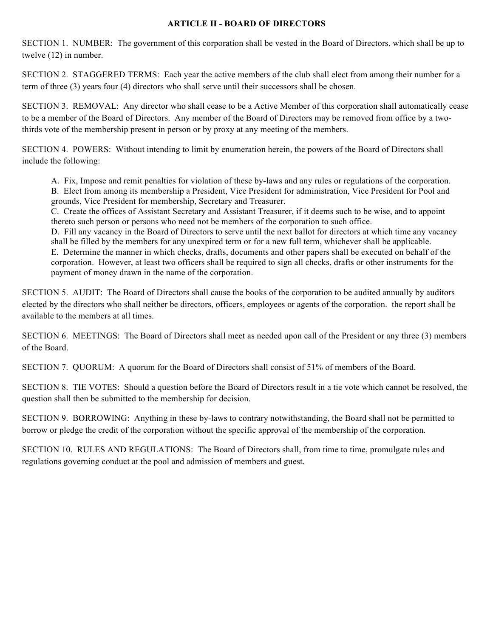### **ARTICLE II - BOARD OF DIRECTORS**

SECTION 1. NUMBER: The government of this corporation shall be vested in the Board of Directors, which shall be up to twelve (12) in number.

SECTION 2. STAGGERED TERMS: Each year the active members of the club shall elect from among their number for a term of three (3) years four (4) directors who shall serve until their successors shall be chosen.

SECTION 3. REMOVAL: Any director who shall cease to be a Active Member of this corporation shall automatically cease to be a member of the Board of Directors. Any member of the Board of Directors may be removed from office by a twothirds vote of the membership present in person or by proxy at any meeting of the members.

SECTION 4. POWERS: Without intending to limit by enumeration herein, the powers of the Board of Directors shall include the following:

A. Fix, Impose and remit penalties for violation of these by-laws and any rules or regulations of the corporation. B. Elect from among its membership a President, Vice President for administration, Vice President for Pool and grounds, Vice President for membership, Secretary and Treasurer.

C. Create the offices of Assistant Secretary and Assistant Treasurer, if it deems such to be wise, and to appoint thereto such person or persons who need not be members of the corporation to such office.

D. Fill any vacancy in the Board of Directors to serve until the next ballot for directors at which time any vacancy shall be filled by the members for any unexpired term or for a new full term, whichever shall be applicable. E. Determine the manner in which checks, drafts, documents and other papers shall be executed on behalf of the corporation. However, at least two officers shall be required to sign all checks, drafts or other instruments for the payment of money drawn in the name of the corporation.

SECTION 5. AUDIT: The Board of Directors shall cause the books of the corporation to be audited annually by auditors elected by the directors who shall neither be directors, officers, employees or agents of the corporation. the report shall be available to the members at all times.

SECTION 6. MEETINGS: The Board of Directors shall meet as needed upon call of the President or any three (3) members of the Board.

SECTION 7. QUORUM: A quorum for the Board of Directors shall consist of 51% of members of the Board.

SECTION 8. TIE VOTES: Should a question before the Board of Directors result in a tie vote which cannot be resolved, the question shall then be submitted to the membership for decision.

SECTION 9. BORROWING: Anything in these by-laws to contrary notwithstanding, the Board shall not be permitted to borrow or pledge the credit of the corporation without the specific approval of the membership of the corporation.

SECTION 10. RULES AND REGULATIONS: The Board of Directors shall, from time to time, promulgate rules and regulations governing conduct at the pool and admission of members and guest.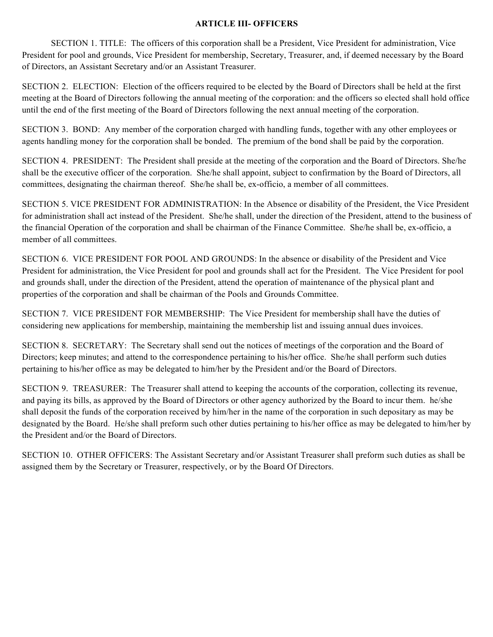### **ARTICLE III- OFFICERS**

SECTION 1. TITLE: The officers of this corporation shall be a President, Vice President for administration, Vice President for pool and grounds, Vice President for membership, Secretary, Treasurer, and, if deemed necessary by the Board of Directors, an Assistant Secretary and/or an Assistant Treasurer.

SECTION 2. ELECTION: Election of the officers required to be elected by the Board of Directors shall be held at the first meeting at the Board of Directors following the annual meeting of the corporation: and the officers so elected shall hold office until the end of the first meeting of the Board of Directors following the next annual meeting of the corporation.

SECTION 3. BOND: Any member of the corporation charged with handling funds, together with any other employees or agents handling money for the corporation shall be bonded. The premium of the bond shall be paid by the corporation.

SECTION 4. PRESIDENT: The President shall preside at the meeting of the corporation and the Board of Directors. She/he shall be the executive officer of the corporation. She/he shall appoint, subject to confirmation by the Board of Directors, all committees, designating the chairman thereof. She/he shall be, ex-officio, a member of all committees.

SECTION 5. VICE PRESIDENT FOR ADMINISTRATION: In the Absence or disability of the President, the Vice President for administration shall act instead of the President. She/he shall, under the direction of the President, attend to the business of the financial Operation of the corporation and shall be chairman of the Finance Committee. She/he shall be, ex-officio, a member of all committees.

SECTION 6. VICE PRESIDENT FOR POOL AND GROUNDS: In the absence or disability of the President and Vice President for administration, the Vice President for pool and grounds shall act for the President. The Vice President for pool and grounds shall, under the direction of the President, attend the operation of maintenance of the physical plant and properties of the corporation and shall be chairman of the Pools and Grounds Committee.

SECTION 7. VICE PRESIDENT FOR MEMBERSHIP: The Vice President for membership shall have the duties of considering new applications for membership, maintaining the membership list and issuing annual dues invoices.

SECTION 8. SECRETARY: The Secretary shall send out the notices of meetings of the corporation and the Board of Directors; keep minutes; and attend to the correspondence pertaining to his/her office. She/he shall perform such duties pertaining to his/her office as may be delegated to him/her by the President and/or the Board of Directors.

SECTION 9. TREASURER: The Treasurer shall attend to keeping the accounts of the corporation, collecting its revenue, and paying its bills, as approved by the Board of Directors or other agency authorized by the Board to incur them. he/she shall deposit the funds of the corporation received by him/her in the name of the corporation in such depositary as may be designated by the Board. He/she shall preform such other duties pertaining to his/her office as may be delegated to him/her by the President and/or the Board of Directors.

SECTION 10. OTHER OFFICERS: The Assistant Secretary and/or Assistant Treasurer shall preform such duties as shall be assigned them by the Secretary or Treasurer, respectively, or by the Board Of Directors.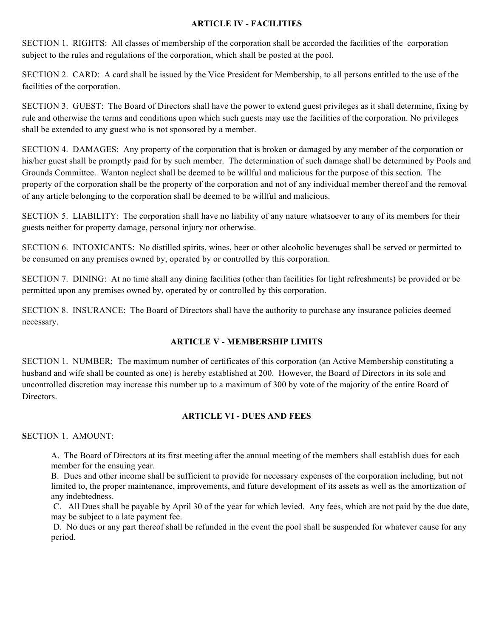### **ARTICLE IV - FACILITIES**

SECTION 1. RIGHTS: All classes of membership of the corporation shall be accorded the facilities of the corporation subject to the rules and regulations of the corporation, which shall be posted at the pool.

SECTION 2. CARD: A card shall be issued by the Vice President for Membership, to all persons entitled to the use of the facilities of the corporation.

SECTION 3. GUEST: The Board of Directors shall have the power to extend guest privileges as it shall determine, fixing by rule and otherwise the terms and conditions upon which such guests may use the facilities of the corporation. No privileges shall be extended to any guest who is not sponsored by a member.

SECTION 4. DAMAGES: Any property of the corporation that is broken or damaged by any member of the corporation or his/her guest shall be promptly paid for by such member. The determination of such damage shall be determined by Pools and Grounds Committee. Wanton neglect shall be deemed to be willful and malicious for the purpose of this section. The property of the corporation shall be the property of the corporation and not of any individual member thereof and the removal of any article belonging to the corporation shall be deemed to be willful and malicious.

SECTION 5. LIABILITY: The corporation shall have no liability of any nature whatsoever to any of its members for their guests neither for property damage, personal injury nor otherwise.

SECTION 6. INTOXICANTS: No distilled spirits, wines, beer or other alcoholic beverages shall be served or permitted to be consumed on any premises owned by, operated by or controlled by this corporation.

SECTION 7. DINING: At no time shall any dining facilities (other than facilities for light refreshments) be provided or be permitted upon any premises owned by, operated by or controlled by this corporation.

SECTION 8. INSURANCE: The Board of Directors shall have the authority to purchase any insurance policies deemed necessary.

# **ARTICLE V - MEMBERSHIP LIMITS**

SECTION 1. NUMBER: The maximum number of certificates of this corporation (an Active Membership constituting a husband and wife shall be counted as one) is hereby established at 200. However, the Board of Directors in its sole and uncontrolled discretion may increase this number up to a maximum of 300 by vote of the majority of the entire Board of **Directors** 

# **ARTICLE VI - DUES AND FEES**

**S**ECTION 1. AMOUNT:

A. The Board of Directors at its first meeting after the annual meeting of the members shall establish dues for each member for the ensuing year.

B. Dues and other income shall be sufficient to provide for necessary expenses of the corporation including, but not limited to, the proper maintenance, improvements, and future development of its assets as well as the amortization of any indebtedness.

C. All Dues shall be payable by April 30 of the year for which levied. Any fees, which are not paid by the due date, may be subject to a late payment fee.

D. No dues or any part thereof shall be refunded in the event the pool shall be suspended for whatever cause for any period.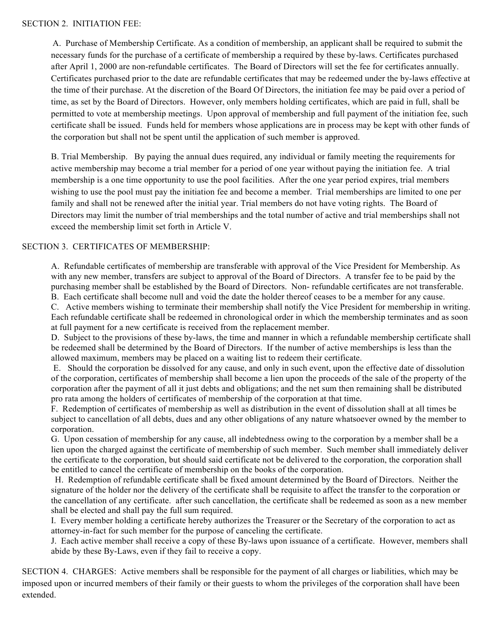A. Purchase of Membership Certificate. As a condition of membership, an applicant shall be required to submit the necessary funds for the purchase of a certificate of membership a required by these by-laws. Certificates purchased after April 1, 2000 are non-refundable certificates. The Board of Directors will set the fee for certificates annually. Certificates purchased prior to the date are refundable certificates that may be redeemed under the by-laws effective at the time of their purchase. At the discretion of the Board Of Directors, the initiation fee may be paid over a period of time, as set by the Board of Directors. However, only members holding certificates, which are paid in full, shall be permitted to vote at membership meetings. Upon approval of membership and full payment of the initiation fee, such certificate shall be issued. Funds held for members whose applications are in process may be kept with other funds of the corporation but shall not be spent until the application of such member is approved.

B. Trial Membership. By paying the annual dues required, any individual or family meeting the requirements for active membership may become a trial member for a period of one year without paying the initiation fee. A trial membership is a one time opportunity to use the pool facilities. After the one year period expires, trial members wishing to use the pool must pay the initiation fee and become a member. Trial memberships are limited to one per family and shall not be renewed after the initial year. Trial members do not have voting rights. The Board of Directors may limit the number of trial memberships and the total number of active and trial memberships shall not exceed the membership limit set forth in Article V.

# SECTION 3. CERTIFICATES OF MEMBERSHIP:

A. Refundable certificates of membership are transferable with approval of the Vice President for Membership. As with any new member, transfers are subject to approval of the Board of Directors. A transfer fee to be paid by the purchasing member shall be established by the Board of Directors. Non- refundable certificates are not transferable. B. Each certificate shall become null and void the date the holder thereof ceases to be a member for any cause.

C. Active members wishing to terminate their membership shall notify the Vice President for membership in writing. Each refundable certificate shall be redeemed in chronological order in which the membership terminates and as soon at full payment for a new certificate is received from the replacement member.

D. Subject to the provisions of these by-laws, the time and manner in which a refundable membership certificate shall be redeemed shall be determined by the Board of Directors. If the number of active memberships is less than the allowed maximum, members may be placed on a waiting list to redeem their certificate.

E. Should the corporation be dissolved for any cause, and only in such event, upon the effective date of dissolution of the corporation, certificates of membership shall become a lien upon the proceeds of the sale of the property of the corporation after the payment of all it just debts and obligations; and the net sum then remaining shall be distributed pro rata among the holders of certificates of membership of the corporation at that time.

F. Redemption of certificates of membership as well as distribution in the event of dissolution shall at all times be subject to cancellation of all debts, dues and any other obligations of any nature whatsoever owned by the member to corporation.

G. Upon cessation of membership for any cause, all indebtedness owing to the corporation by a member shall be a lien upon the charged against the certificate of membership of such member. Such member shall immediately deliver the certificate to the corporation, but should said certificate not be delivered to the corporation, the corporation shall be entitled to cancel the certificate of membership on the books of the corporation.

H. Redemption of refundable certificate shall be fixed amount determined by the Board of Directors. Neither the signature of the holder nor the delivery of the certificate shall be requisite to affect the transfer to the corporation or the cancellation of any certificate. after such cancellation, the certificate shall be redeemed as soon as a new member shall be elected and shall pay the full sum required.

I. Every member holding a certificate hereby authorizes the Treasurer or the Secretary of the corporation to act as attorney-in-fact for such member for the purpose of canceling the certificate.

J. Each active member shall receive a copy of these By-laws upon issuance of a certificate. However, members shall abide by these By-Laws, even if they fail to receive a copy.

SECTION 4. CHARGES: Active members shall be responsible for the payment of all charges or liabilities, which may be imposed upon or incurred members of their family or their guests to whom the privileges of the corporation shall have been extended.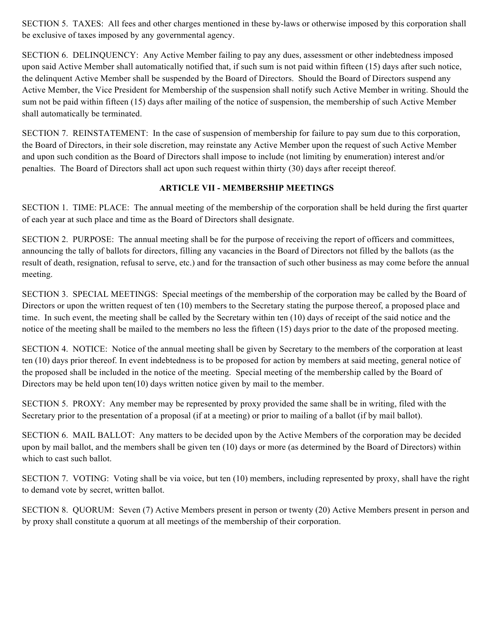SECTION 5. TAXES: All fees and other charges mentioned in these by-laws or otherwise imposed by this corporation shall be exclusive of taxes imposed by any governmental agency.

SECTION 6. DELINQUENCY: Any Active Member failing to pay any dues, assessment or other indebtedness imposed upon said Active Member shall automatically notified that, if such sum is not paid within fifteen (15) days after such notice, the delinquent Active Member shall be suspended by the Board of Directors. Should the Board of Directors suspend any Active Member, the Vice President for Membership of the suspension shall notify such Active Member in writing. Should the sum not be paid within fifteen (15) days after mailing of the notice of suspension, the membership of such Active Member shall automatically be terminated.

SECTION 7. REINSTATEMENT: In the case of suspension of membership for failure to pay sum due to this corporation, the Board of Directors, in their sole discretion, may reinstate any Active Member upon the request of such Active Member and upon such condition as the Board of Directors shall impose to include (not limiting by enumeration) interest and/or penalties. The Board of Directors shall act upon such request within thirty (30) days after receipt thereof.

# **ARTICLE VII - MEMBERSHIP MEETINGS**

SECTION 1. TIME: PLACE: The annual meeting of the membership of the corporation shall be held during the first quarter of each year at such place and time as the Board of Directors shall designate.

SECTION 2. PURPOSE: The annual meeting shall be for the purpose of receiving the report of officers and committees, announcing the tally of ballots for directors, filling any vacancies in the Board of Directors not filled by the ballots (as the result of death, resignation, refusal to serve, etc.) and for the transaction of such other business as may come before the annual meeting.

SECTION 3. SPECIAL MEETINGS: Special meetings of the membership of the corporation may be called by the Board of Directors or upon the written request of ten (10) members to the Secretary stating the purpose thereof, a proposed place and time. In such event, the meeting shall be called by the Secretary within ten (10) days of receipt of the said notice and the notice of the meeting shall be mailed to the members no less the fifteen (15) days prior to the date of the proposed meeting.

SECTION 4. NOTICE: Notice of the annual meeting shall be given by Secretary to the members of the corporation at least ten (10) days prior thereof. In event indebtedness is to be proposed for action by members at said meeting, general notice of the proposed shall be included in the notice of the meeting. Special meeting of the membership called by the Board of Directors may be held upon ten(10) days written notice given by mail to the member.

SECTION 5. PROXY: Any member may be represented by proxy provided the same shall be in writing, filed with the Secretary prior to the presentation of a proposal (if at a meeting) or prior to mailing of a ballot (if by mail ballot).

SECTION 6. MAIL BALLOT: Any matters to be decided upon by the Active Members of the corporation may be decided upon by mail ballot, and the members shall be given ten (10) days or more (as determined by the Board of Directors) within which to cast such ballot.

SECTION 7. VOTING: Voting shall be via voice, but ten (10) members, including represented by proxy, shall have the right to demand vote by secret, written ballot.

SECTION 8. QUORUM: Seven (7) Active Members present in person or twenty (20) Active Members present in person and by proxy shall constitute a quorum at all meetings of the membership of their corporation.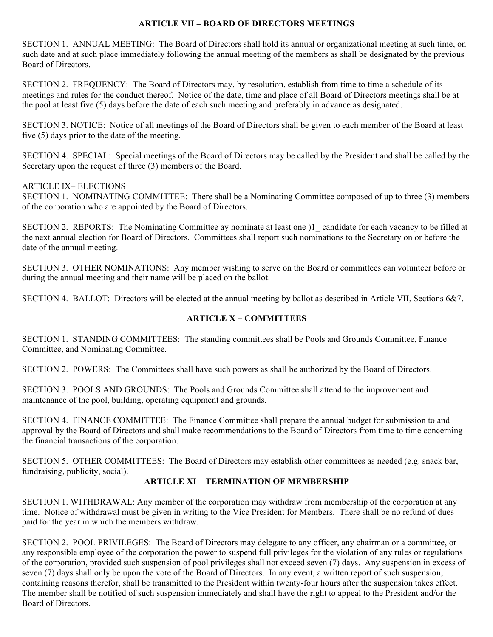### **ARTICLE VII – BOARD OF DIRECTORS MEETINGS**

SECTION 1. ANNUAL MEETING: The Board of Directors shall hold its annual or organizational meeting at such time, on such date and at such place immediately following the annual meeting of the members as shall be designated by the previous Board of Directors.

SECTION 2. FREQUENCY: The Board of Directors may, by resolution, establish from time to time a schedule of its meetings and rules for the conduct thereof. Notice of the date, time and place of all Board of Directors meetings shall be at the pool at least five (5) days before the date of each such meeting and preferably in advance as designated.

SECTION 3. NOTICE: Notice of all meetings of the Board of Directors shall be given to each member of the Board at least five (5) days prior to the date of the meeting.

SECTION 4. SPECIAL: Special meetings of the Board of Directors may be called by the President and shall be called by the Secretary upon the request of three (3) members of the Board.

### ARTICLE IX– ELECTIONS

SECTION 1. NOMINATING COMMITTEE: There shall be a Nominating Committee composed of up to three (3) members of the corporation who are appointed by the Board of Directors.

SECTION 2. REPORTS: The Nominating Committee ay nominate at least one  $1$  candidate for each vacancy to be filled at the next annual election for Board of Directors. Committees shall report such nominations to the Secretary on or before the date of the annual meeting.

SECTION 3. OTHER NOMINATIONS: Any member wishing to serve on the Board or committees can volunteer before or during the annual meeting and their name will be placed on the ballot.

SECTION 4. BALLOT: Directors will be elected at the annual meeting by ballot as described in Article VII, Sections 6&7.

# **ARTICLE X – COMMITTEES**

SECTION 1. STANDING COMMITTEES: The standing committees shall be Pools and Grounds Committee, Finance Committee, and Nominating Committee.

SECTION 2. POWERS: The Committees shall have such powers as shall be authorized by the Board of Directors.

SECTION 3. POOLS AND GROUNDS: The Pools and Grounds Committee shall attend to the improvement and maintenance of the pool, building, operating equipment and grounds.

SECTION 4. FINANCE COMMITTEE: The Finance Committee shall prepare the annual budget for submission to and approval by the Board of Directors and shall make recommendations to the Board of Directors from time to time concerning the financial transactions of the corporation.

SECTION 5. OTHER COMMITTEES: The Board of Directors may establish other committees as needed (e.g. snack bar, fundraising, publicity, social).

#### **ARTICLE XI – TERMINATION OF MEMBERSHIP**

SECTION 1. WITHDRAWAL: Any member of the corporation may withdraw from membership of the corporation at any time. Notice of withdrawal must be given in writing to the Vice President for Members. There shall be no refund of dues paid for the year in which the members withdraw.

SECTION 2. POOL PRIVILEGES: The Board of Directors may delegate to any officer, any chairman or a committee, or any responsible employee of the corporation the power to suspend full privileges for the violation of any rules or regulations of the corporation, provided such suspension of pool privileges shall not exceed seven (7) days. Any suspension in excess of seven (7) days shall only be upon the vote of the Board of Directors. In any event, a written report of such suspension, containing reasons therefor, shall be transmitted to the President within twenty-four hours after the suspension takes effect. The member shall be notified of such suspension immediately and shall have the right to appeal to the President and/or the Board of Directors.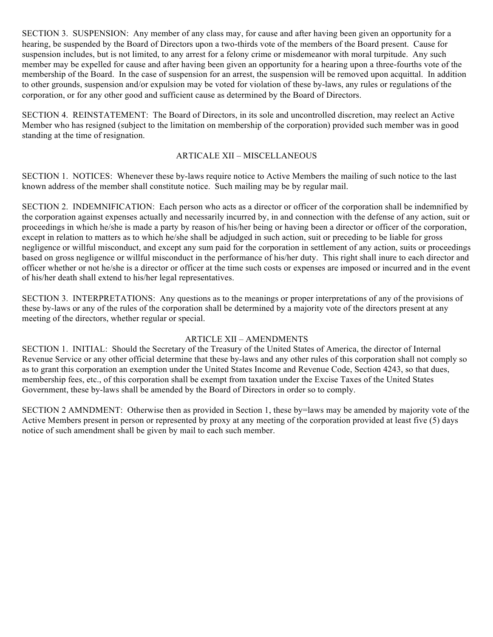SECTION 3. SUSPENSION: Any member of any class may, for cause and after having been given an opportunity for a hearing, be suspended by the Board of Directors upon a two-thirds vote of the members of the Board present. Cause for suspension includes, but is not limited, to any arrest for a felony crime or misdemeanor with moral turpitude. Any such member may be expelled for cause and after having been given an opportunity for a hearing upon a three-fourths vote of the membership of the Board. In the case of suspension for an arrest, the suspension will be removed upon acquittal. In addition to other grounds, suspension and/or expulsion may be voted for violation of these by-laws, any rules or regulations of the corporation, or for any other good and sufficient cause as determined by the Board of Directors.

SECTION 4. REINSTATEMENT: The Board of Directors, in its sole and uncontrolled discretion, may reelect an Active Member who has resigned (subject to the limitation on membership of the corporation) provided such member was in good standing at the time of resignation.

# ARTICALE XII – MISCELLANEOUS

SECTION 1. NOTICES: Whenever these by-laws require notice to Active Members the mailing of such notice to the last known address of the member shall constitute notice. Such mailing may be by regular mail.

SECTION 2. INDEMNIFICATION: Each person who acts as a director or officer of the corporation shall be indemnified by the corporation against expenses actually and necessarily incurred by, in and connection with the defense of any action, suit or proceedings in which he/she is made a party by reason of his/her being or having been a director or officer of the corporation, except in relation to matters as to which he/she shall be adjudged in such action, suit or preceding to be liable for gross negligence or willful misconduct, and except any sum paid for the corporation in settlement of any action, suits or proceedings based on gross negligence or willful misconduct in the performance of his/her duty. This right shall inure to each director and officer whether or not he/she is a director or officer at the time such costs or expenses are imposed or incurred and in the event of his/her death shall extend to his/her legal representatives.

SECTION 3. INTERPRETATIONS: Any questions as to the meanings or proper interpretations of any of the provisions of these by-laws or any of the rules of the corporation shall be determined by a majority vote of the directors present at any meeting of the directors, whether regular or special.

# ARTICLE XII – AMENDMENTS

SECTION 1. INITIAL: Should the Secretary of the Treasury of the United States of America, the director of Internal Revenue Service or any other official determine that these by-laws and any other rules of this corporation shall not comply so as to grant this corporation an exemption under the United States Income and Revenue Code, Section 4243, so that dues, membership fees, etc., of this corporation shall be exempt from taxation under the Excise Taxes of the United States Government, these by-laws shall be amended by the Board of Directors in order so to comply.

SECTION 2 AMNDMENT: Otherwise then as provided in Section 1, these by=laws may be amended by majority vote of the Active Members present in person or represented by proxy at any meeting of the corporation provided at least five (5) days notice of such amendment shall be given by mail to each such member.